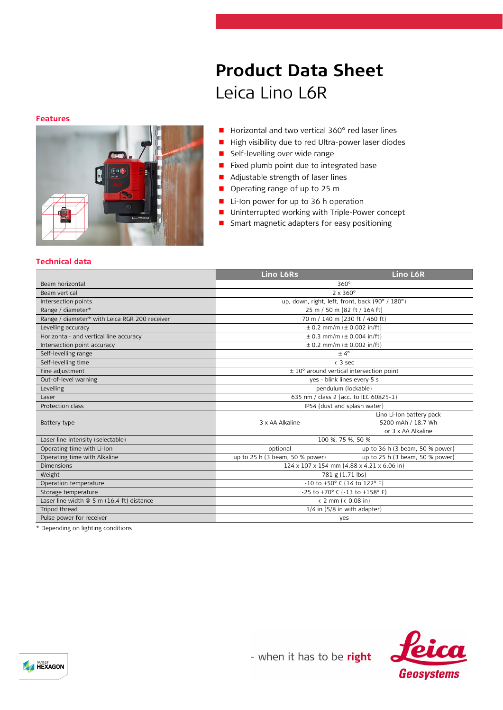#### **Features**



# **Product Data Sheet** Leica Lino L6R

- Horizontal and two vertical 360° red laser lines
- High visibility due to red Ultra-power laser diodes
- **Self-levelling over wide range**
- **Fixed plumb point due to integrated base**
- **Adjustable strength of laser lines**
- Operating range of up to 25 m
- **Li-Ion power for up to 36 h operation**
- **Uninterrupted working with Triple-Power concept**
- **Smart magnetic adapters for easy positioning**

## **Technical data**

|                                               | Lino L6Rs                                              | Lino L6R                        |
|-----------------------------------------------|--------------------------------------------------------|---------------------------------|
| Beam horizontal                               | $360^\circ$                                            |                                 |
| Beam vertical                                 | $2 \times 360^\circ$                                   |                                 |
| Intersection points                           | up, down, right, left, front, back (90° / 180°)        |                                 |
| Range / diameter*                             | 25 m / 50 m (82 ft / 164 ft)                           |                                 |
| Range / diameter* with Leica RGR 200 receiver | 70 m / 140 m (230 ft / 460 ft)                         |                                 |
| Levelling accuracy                            | $\pm$ 0.2 mm/m ( $\pm$ 0.002 in/ft)                    |                                 |
| Horizontal- and vertical line accuracy        | $\pm$ 0.3 mm/m ( $\pm$ 0.004 in/ft)                    |                                 |
| Intersection point accuracy                   | $\pm$ 0.2 mm/m ( $\pm$ 0.002 in/ft)                    |                                 |
| Self-levelling range                          | $± 4^{\circ}$                                          |                                 |
| Self-levelling time                           | $<$ 3 sec                                              |                                 |
| Fine adjustment                               | $\pm$ 10 $^{\circ}$ around vertical intersection point |                                 |
| Out-of-level warning                          | yes - blink lines every 5 s                            |                                 |
| Levelling                                     | pendulum (lockable)                                    |                                 |
| Laser                                         | 635 nm / class 2 (acc. to IEC 60825-1)                 |                                 |
| Protection class                              | IP54 (dust and splash water)                           |                                 |
|                                               |                                                        | Lino Li-Ion battery pack        |
| Battery type                                  | 3 x AA Alkaline                                        | 5200 mAh / 18.7 Wh              |
|                                               |                                                        | or 3 x AA Alkaline              |
| Laser line intensity (selectable)             | 100 %, 75 %, 50 %                                      |                                 |
| Operating time with Li-Ion                    | optional                                               | up to 36 h (3 beam, 50 % power) |
| Operating time with Alkaline                  | up to 25 h (3 beam, 50 % power)                        | up to 25 h (3 beam, 50 % power) |
| <b>Dimensions</b>                             | 124 x 107 x 154 mm (4.88 x 4.21 x 6.06 in)             |                                 |
| Weight                                        | 781 g (1.71 lbs)                                       |                                 |
| Operation temperature                         | $-10$ to $+50^{\circ}$ C (14 to 122° F)                |                                 |
| Storage temperature                           | -25 to +70° C (-13 to +158° F)                         |                                 |
| Laser line width @ 5 m (16.4 ft) distance     | (2 mm) (0.08 in)                                       |                                 |
| Tripod thread                                 | $1/4$ in $(5/8$ in with adapter)                       |                                 |
| Pulse power for receiver                      | yes                                                    |                                 |
| * Depending on lighting conditions            |                                                        |                                 |

Depending on lighting conditions